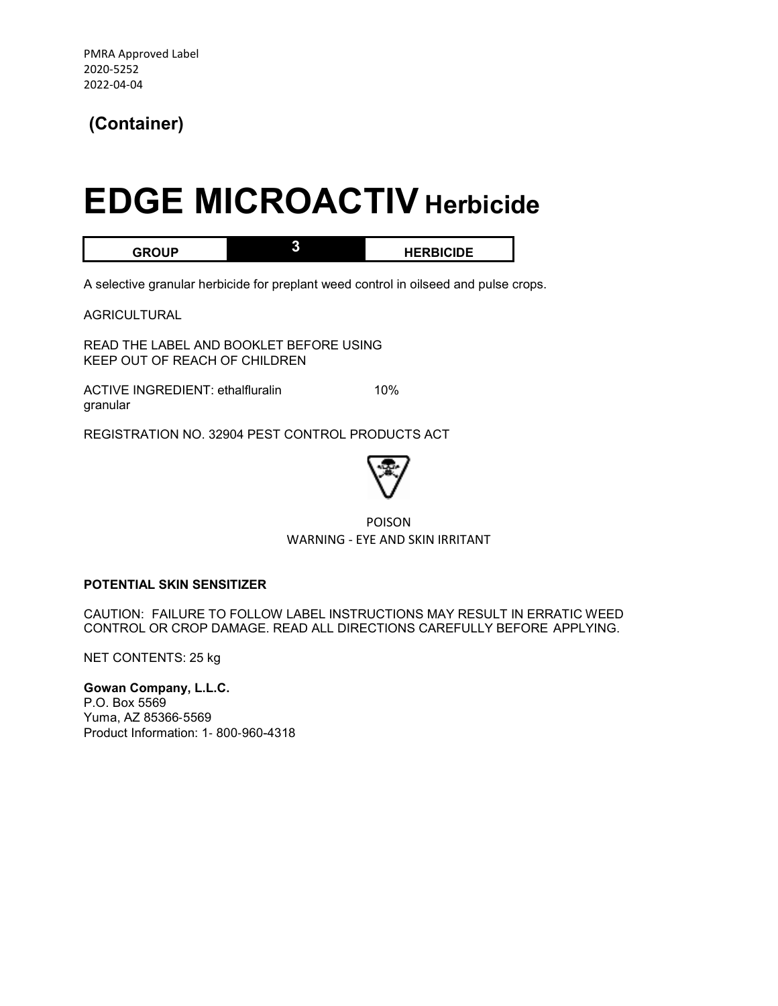## **(Container)**

## **EDGE MICROACTIV Herbicide**

**GROUP 3 HERBICIDE** 

A selective granular herbicide for preplant weed control in oilseed and pulse crops.

AGRICULTURAL

READ THE LABEL AND BOOKLET BEFORE USING KEEP OUT OF REACH OF CHILDREN

ACTIVE INGREDIENT: ethalfluralin 10% granular

REGISTRATION NO. 32904 PEST CONTROL PRODUCTS ACT



POISON WARNING - EYE AND SKIN IRRITANT

### **POTENTIAL SKIN SENSITIZER**

CAUTION: FAILURE TO FOLLOW LABEL INSTRUCTIONS MAY RESULT IN ERRATIC WEED CONTROL OR CROP DAMAGE. READ ALL DIRECTIONS CAREFULLY BEFORE APPLYING.

NET CONTENTS: 25 kg

**Gowan Company, L.L.C.**  P.O. Box 5569 Yuma, AZ 85366‐5569 Product Information: 1‐ 800‐960-4318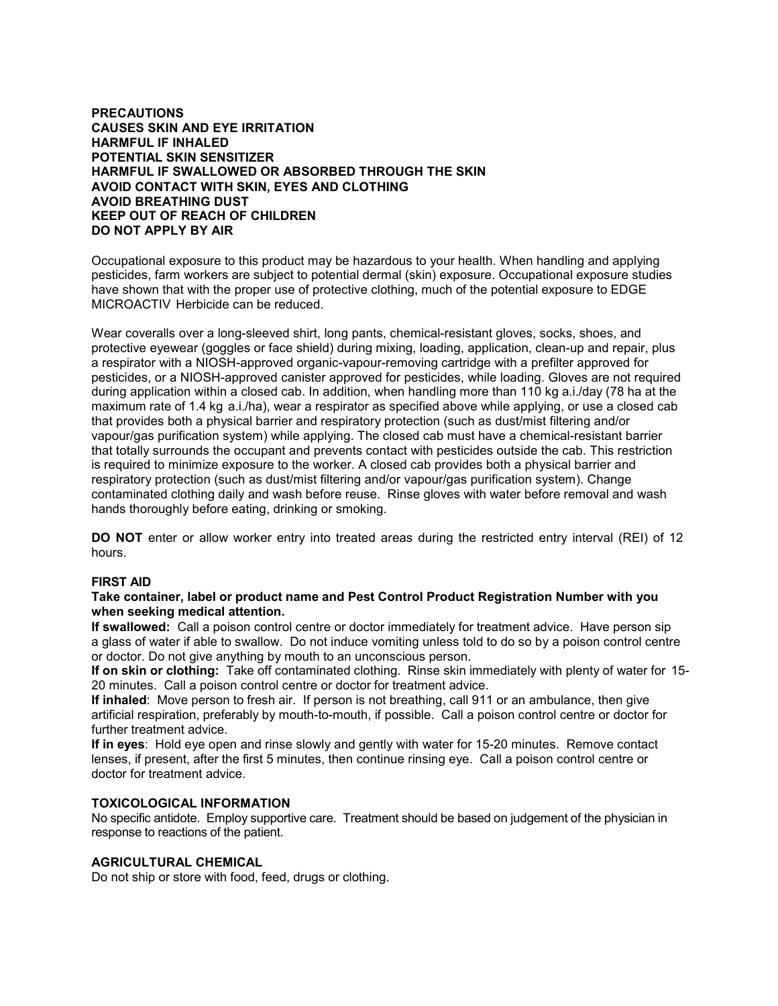### **PRECAUTIONS CAUSES SKIN AND EYE IRRITATION HARMFUL IF INHALED POTENTIAL SKIN SENSITIZER HARMFUL IF SWALLOWED OR ABSORBED THROUGH THE SKIN AVOID CONTACT WITH SKIN, EYES AND CLOTHING AVOID BREATHING DUST KEEP OUT OF REACH OF CHILDREN DO NOT APPLY BY AIR**

Occupational exposure to this product may be hazardous to your health. When handling and applying pesticides, farm workers are subject to potential dermal (skin) exposure. Occupational exposure studies have shown that with the proper use of protective clothing, much of the potential exposure to EDGE MICROACTIV Herbicide can be reduced.

Wear coveralls over a long-sleeved shirt, long pants, chemical-resistant gloves, socks, shoes, and protective eyewear (goggles or face shield) during mixing, loading, application, clean-up and repair, plus a respirator with a NIOSH-approved organic-vapour-removing cartridge with a prefilter approved for pesticides, or a NIOSH-approved canister approved for pesticides, while loading. Gloves are not required during application within a closed cab. In addition, when handling more than 110 kg a.i./day (78 ha at the maximum rate of 1.4 kg a.i./ha), wear a respirator as specified above while applying, or use a closed cab that provides both a physical barrier and respiratory protection (such as dust/mist filtering and/or vapour/gas purification system) while applying. The closed cab must have a chemical-resistant barrier that totally surrounds the occupant and prevents contact with pesticides outside the cab. This restriction is required to minimize exposure to the worker. A closed cab provides both a physical barrier and respiratory protection (such as dust/mist filtering and/or vapour/gas purification system). Change contaminated clothing daily and wash before reuse. Rinse gloves with water before removal and wash hands thoroughly before eating, drinking or smoking.

**DO NOT** enter or allow worker entry into treated areas during the restricted entry interval (REI) of 12 hours.

### **FIRST AID**

### **Take container, label or product name and Pest Control Product Registration Number with you when seeking medical attention.**

**If swallowed:** Call a poison control centre or doctor immediately for treatment advice. Have person sip a glass of water if able to swallow. Do not induce vomiting unless told to do so by a poison control centre or doctor. Do not give anything by mouth to an unconscious person.

**If on skin or clothing:** Take off contaminated clothing. Rinse skin immediately with plenty of water for 15- 20 minutes. Call a poison control centre or doctor for treatment advice.

**If inhaled**: Move person to fresh air. If person is not breathing, call 911 or an ambulance, then give artificial respiration, preferably by mouth-to-mouth, if possible. Call a poison control centre or doctor for further treatment advice.

**If in eyes**: Hold eye open and rinse slowly and gently with water for 15-20 minutes. Remove contact lenses, if present, after the first 5 minutes, then continue rinsing eye. Call a poison control centre or doctor for treatment advice.

### **TOXICOLOGICAL INFORMATION**

No specific antidote. Employ supportive care. Treatment should be based on judgement of the physician in response to reactions of the patient.

### **AGRICULTURAL CHEMICAL**

Do not ship or store with food, feed, drugs or clothing.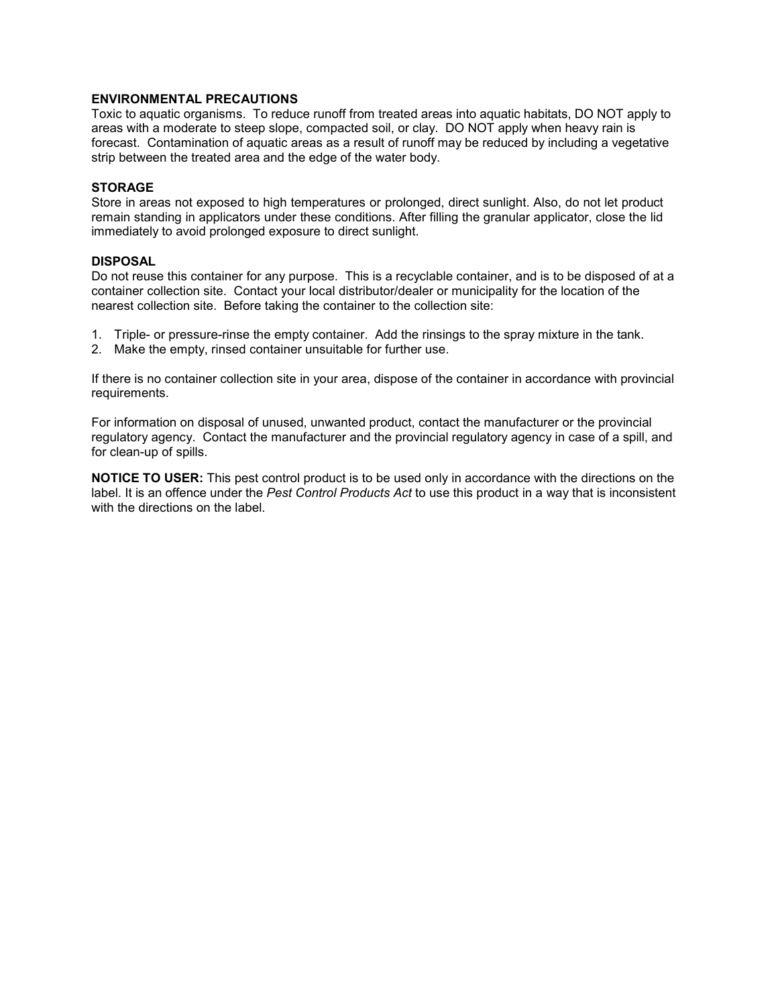### **ENVIRONMENTAL PRECAUTIONS**

Toxic to aquatic organisms. To reduce runoff from treated areas into aquatic habitats, DO NOT apply to areas with a moderate to steep slope, compacted soil, or clay. DO NOT apply when heavy rain is forecast. Contamination of aquatic areas as a result of runoff may be reduced by including a vegetative strip between the treated area and the edge of the water body.

### **STORAGE**

Store in areas not exposed to high temperatures or prolonged, direct sunlight. Also, do not let product remain standing in applicators under these conditions. After filling the granular applicator, close the lid immediately to avoid prolonged exposure to direct sunlight.

### **DISPOSAL**

Do not reuse this container for any purpose. This is a recyclable container, and is to be disposed of at a container collection site. Contact your local distributor/dealer or municipality for the location of the nearest collection site. Before taking the container to the collection site:

- 1. Triple- or pressure-rinse the empty container. Add the rinsings to the spray mixture in the tank.
- 2. Make the empty, rinsed container unsuitable for further use.

If there is no container collection site in your area, dispose of the container in accordance with provincial requirements.

For information on disposal of unused, unwanted product, contact the manufacturer or the provincial regulatory agency. Contact the manufacturer and the provincial regulatory agency in case of a spill, and for clean-up of spills.

**NOTICE TO USER:** This pest control product is to be used only in accordance with the directions on the label. It is an offence under the *Pest Control Products Act* to use this product in a way that is inconsistent with the directions on the label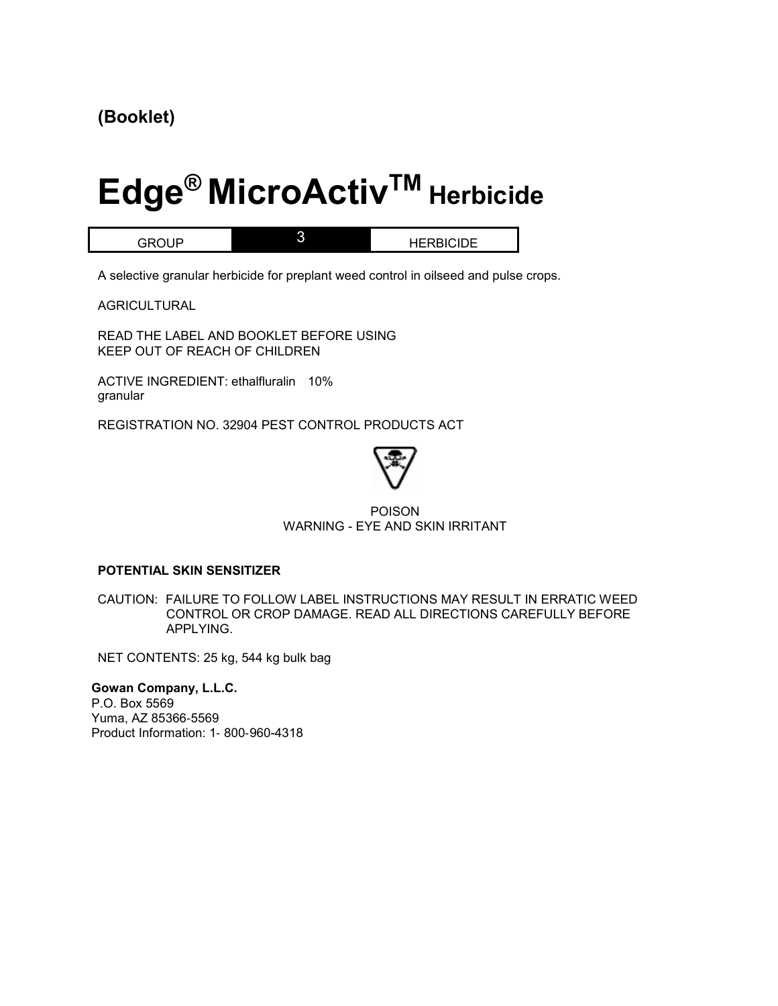## **(Booklet)**

# **Edge® MicroActivTM Herbicide**

GROUP 3 HERBICIDE

A selective granular herbicide for preplant weed control in oilseed and pulse crops.

AGRICULTURAL

READ THE LABEL AND BOOKLET BEFORE USING KEEP OUT OF REACH OF CHILDREN

ACTIVE INGREDIENT: ethalfluralin 10% granular

REGISTRATION NO. 32904 PEST CONTROL PRODUCTS ACT



### POISON WARNING - EYE AND SKIN IRRITANT

### **POTENTIAL SKIN SENSITIZER**

CAUTION: FAILURE TO FOLLOW LABEL INSTRUCTIONS MAY RESULT IN ERRATIC WEED CONTROL OR CROP DAMAGE. READ ALL DIRECTIONS CAREFULLY BEFORE APPLYING.

NET CONTENTS: 25 kg, 544 kg bulk bag

**Gowan Company, L.L.C.**  P.O. Box 5569 Yuma, AZ 85366‐5569 Product Information: 1‐ 800‐960-4318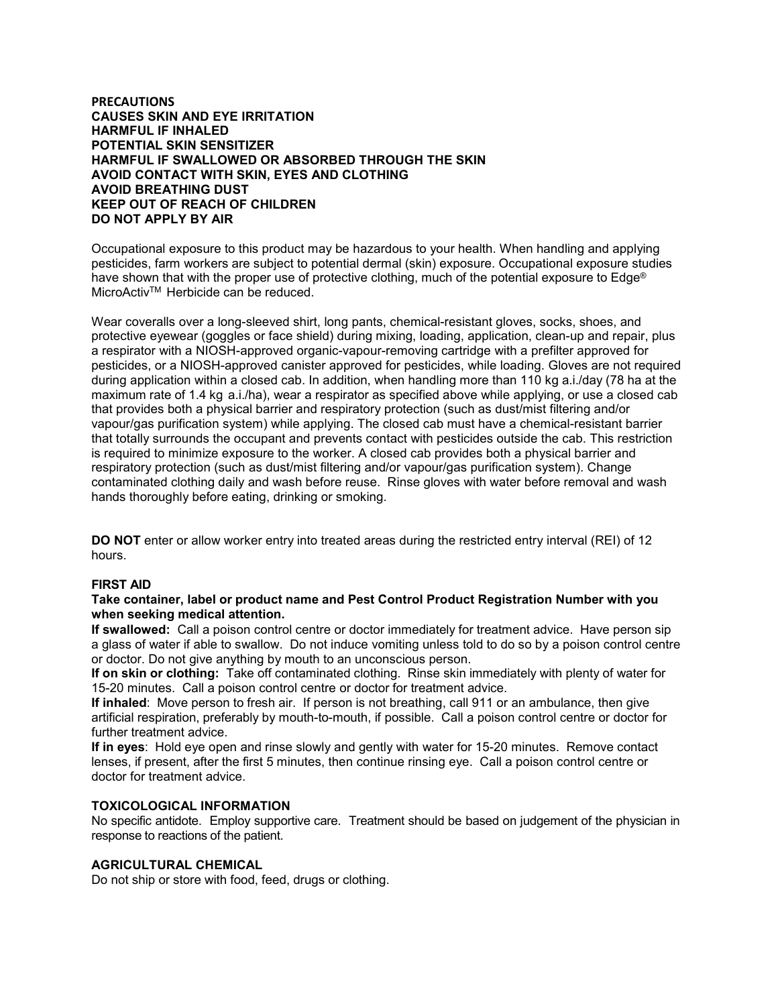### **PRECAUTIONS CAUSES SKIN AND EYE IRRITATION HARMFUL IF INHALED POTENTIAL SKIN SENSITIZER HARMFUL IF SWALLOWED OR ABSORBED THROUGH THE SKIN AVOID CONTACT WITH SKIN, EYES AND CLOTHING AVOID BREATHING DUST KEEP OUT OF REACH OF CHILDREN DO NOT APPLY BY AIR**

Occupational exposure to this product may be hazardous to your health. When handling and applying pesticides, farm workers are subject to potential dermal (skin) exposure. Occupational exposure studies have shown that with the proper use of protective clothing, much of the potential exposure to Edge® MicroActivTM Herbicide can be reduced.

Wear coveralls over a long-sleeved shirt, long pants, chemical-resistant gloves, socks, shoes, and protective eyewear (goggles or face shield) during mixing, loading, application, clean-up and repair, plus a respirator with a NIOSH-approved organic-vapour-removing cartridge with a prefilter approved for pesticides, or a NIOSH-approved canister approved for pesticides, while loading. Gloves are not required during application within a closed cab. In addition, when handling more than 110 kg a.i./day (78 ha at the maximum rate of 1.4 kg a.i./ha), wear a respirator as specified above while applying, or use a closed cab that provides both a physical barrier and respiratory protection (such as dust/mist filtering and/or vapour/gas purification system) while applying. The closed cab must have a chemical-resistant barrier that totally surrounds the occupant and prevents contact with pesticides outside the cab. This restriction is required to minimize exposure to the worker. A closed cab provides both a physical barrier and respiratory protection (such as dust/mist filtering and/or vapour/gas purification system). Change contaminated clothing daily and wash before reuse. Rinse gloves with water before removal and wash hands thoroughly before eating, drinking or smoking.

**DO NOT** enter or allow worker entry into treated areas during the restricted entry interval (REI) of 12 hours.

### **FIRST AID**

### **Take container, label or product name and Pest Control Product Registration Number with you when seeking medical attention.**

**If swallowed:** Call a poison control centre or doctor immediately for treatment advice. Have person sip a glass of water if able to swallow. Do not induce vomiting unless told to do so by a poison control centre or doctor. Do not give anything by mouth to an unconscious person.

**If on skin or clothing:** Take off contaminated clothing. Rinse skin immediately with plenty of water for 15-20 minutes. Call a poison control centre or doctor for treatment advice.

**If inhaled**: Move person to fresh air. If person is not breathing, call 911 or an ambulance, then give artificial respiration, preferably by mouth-to-mouth, if possible. Call a poison control centre or doctor for further treatment advice.

**If in eyes**: Hold eye open and rinse slowly and gently with water for 15-20 minutes. Remove contact lenses, if present, after the first 5 minutes, then continue rinsing eye. Call a poison control centre or doctor for treatment advice.

### **TOXICOLOGICAL INFORMATION**

No specific antidote. Employ supportive care. Treatment should be based on judgement of the physician in response to reactions of the patient.

### **AGRICULTURAL CHEMICAL**

Do not ship or store with food, feed, drugs or clothing.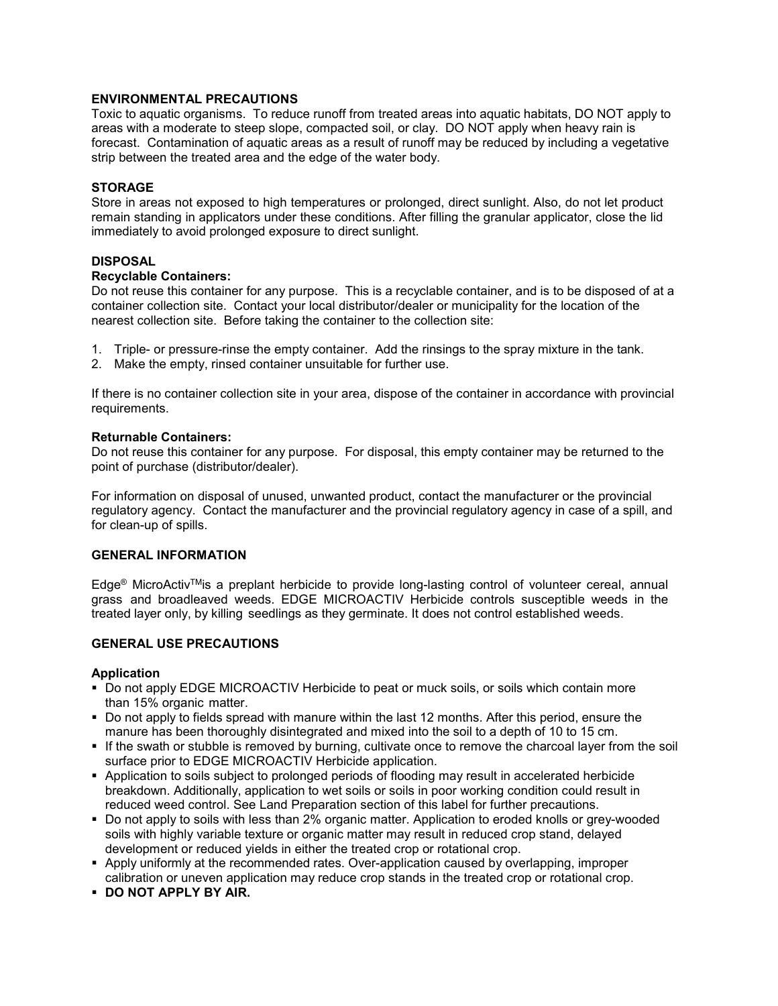### **ENVIRONMENTAL PRECAUTIONS**

Toxic to aquatic organisms. To reduce runoff from treated areas into aquatic habitats, DO NOT apply to areas with a moderate to steep slope, compacted soil, or clay. DO NOT apply when heavy rain is forecast. Contamination of aquatic areas as a result of runoff may be reduced by including a vegetative strip between the treated area and the edge of the water body.

### **STORAGE**

Store in areas not exposed to high temperatures or prolonged, direct sunlight. Also, do not let product remain standing in applicators under these conditions. After filling the granular applicator, close the lid immediately to avoid prolonged exposure to direct sunlight.

### **DISPOSAL**

### **Recyclable Containers:**

Do not reuse this container for any purpose. This is a recyclable container, and is to be disposed of at a container collection site. Contact your local distributor/dealer or municipality for the location of the nearest collection site. Before taking the container to the collection site:

- 1. Triple- or pressure-rinse the empty container. Add the rinsings to the spray mixture in the tank.
- 2. Make the empty, rinsed container unsuitable for further use.

If there is no container collection site in your area, dispose of the container in accordance with provincial requirements.

### **Returnable Containers:**

Do not reuse this container for any purpose. For disposal, this empty container may be returned to the point of purchase (distributor/dealer).

For information on disposal of unused, unwanted product, contact the manufacturer or the provincial regulatory agency. Contact the manufacturer and the provincial regulatory agency in case of a spill, and for clean-up of spills.

### **GENERAL INFORMATION**

Edge<sup>®</sup> MicroActiv<sup>™</sup>is a preplant herbicide to provide long-lasting control of volunteer cereal, annual grass and broadleaved weeds. EDGE MICROACTIV Herbicide controls susceptible weeds in the treated layer only, by killing seedlings as they germinate. It does not control established weeds.

### **GENERAL USE PRECAUTIONS**

### **Application**

- Do not apply EDGE MICROACTIV Herbicide to peat or muck soils, or soils which contain more than 15% organic matter.
- Do not apply to fields spread with manure within the last 12 months. After this period, ensure the manure has been thoroughly disintegrated and mixed into the soil to a depth of 10 to 15 cm.
- If the swath or stubble is removed by burning, cultivate once to remove the charcoal layer from the soil surface prior to EDGE MICROACTIV Herbicide application.
- **Application to soils subject to prolonged periods of flooding may result in accelerated herbicide** breakdown. Additionally, application to wet soils or soils in poor working condition could result in reduced weed control. See Land Preparation section of this label for further precautions.
- Do not apply to soils with less than 2% organic matter. Application to eroded knolls or grey-wooded soils with highly variable texture or organic matter may result in reduced crop stand, delayed development or reduced yields in either the treated crop or rotational crop.
- Apply uniformly at the recommended rates. Over-application caused by overlapping, improper calibration or uneven application may reduce crop stands in the treated crop or rotational crop.
- **DO NOT APPLY BY AIR.**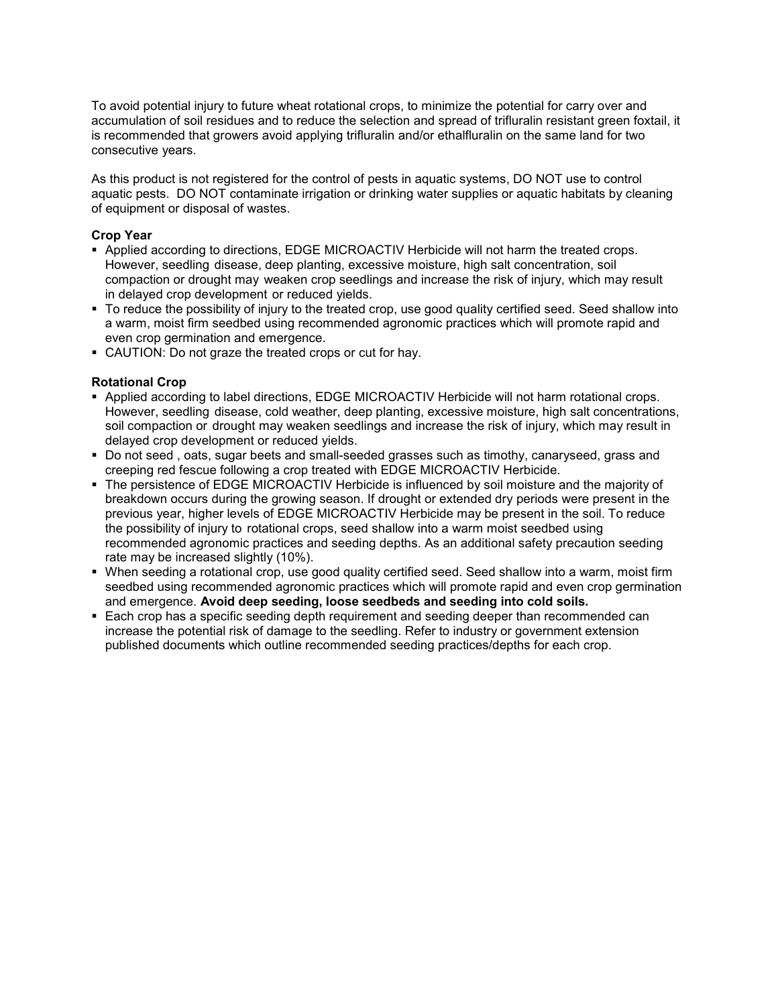To avoid potential injury to future wheat rotational crops, to minimize the potential for carry over and accumulation of soil residues and to reduce the selection and spread of trifluralin resistant green foxtail, it is recommended that growers avoid applying trifluralin and/or ethalfluralin on the same land for two consecutive years.

As this product is not registered for the control of pests in aquatic systems, DO NOT use to control aquatic pests. DO NOT contaminate irrigation or drinking water supplies or aquatic habitats by cleaning of equipment or disposal of wastes.

### **Crop Year**

- Applied according to directions, EDGE MICROACTIV Herbicide will not harm the treated crops. However, seedling disease, deep planting, excessive moisture, high salt concentration, soil compaction or drought may weaken crop seedlings and increase the risk of injury, which may result in delayed crop development or reduced yields.
- To reduce the possibility of injury to the treated crop, use good quality certified seed. Seed shallow into a warm, moist firm seedbed using recommended agronomic practices which will promote rapid and even crop germination and emergence.
- CAUTION: Do not graze the treated crops or cut for hay.

### **Rotational Crop**

- Applied according to label directions, EDGE MICROACTIV Herbicide will not harm rotational crops. However, seedling disease, cold weather, deep planting, excessive moisture, high salt concentrations, soil compaction or drought may weaken seedlings and increase the risk of injury, which may result in delayed crop development or reduced yields.
- Do not seed , oats, sugar beets and small-seeded grasses such as timothy, canaryseed, grass and creeping red fescue following a crop treated with EDGE MICROACTIV Herbicide.
- The persistence of EDGE MICROACTIV Herbicide is influenced by soil moisture and the majority of breakdown occurs during the growing season. If drought or extended dry periods were present in the previous year, higher levels of EDGE MICROACTIV Herbicide may be present in the soil. To reduce the possibility of injury to rotational crops, seed shallow into a warm moist seedbed using recommended agronomic practices and seeding depths. As an additional safety precaution seeding rate may be increased slightly (10%).
- When seeding a rotational crop, use good quality certified seed. Seed shallow into a warm, moist firm seedbed using recommended agronomic practices which will promote rapid and even crop germination and emergence. **Avoid deep seeding, loose seedbeds and seeding into cold soils.**
- Each crop has a specific seeding depth requirement and seeding deeper than recommended can increase the potential risk of damage to the seedling. Refer to industry or government extension published documents which outline recommended seeding practices/depths for each crop.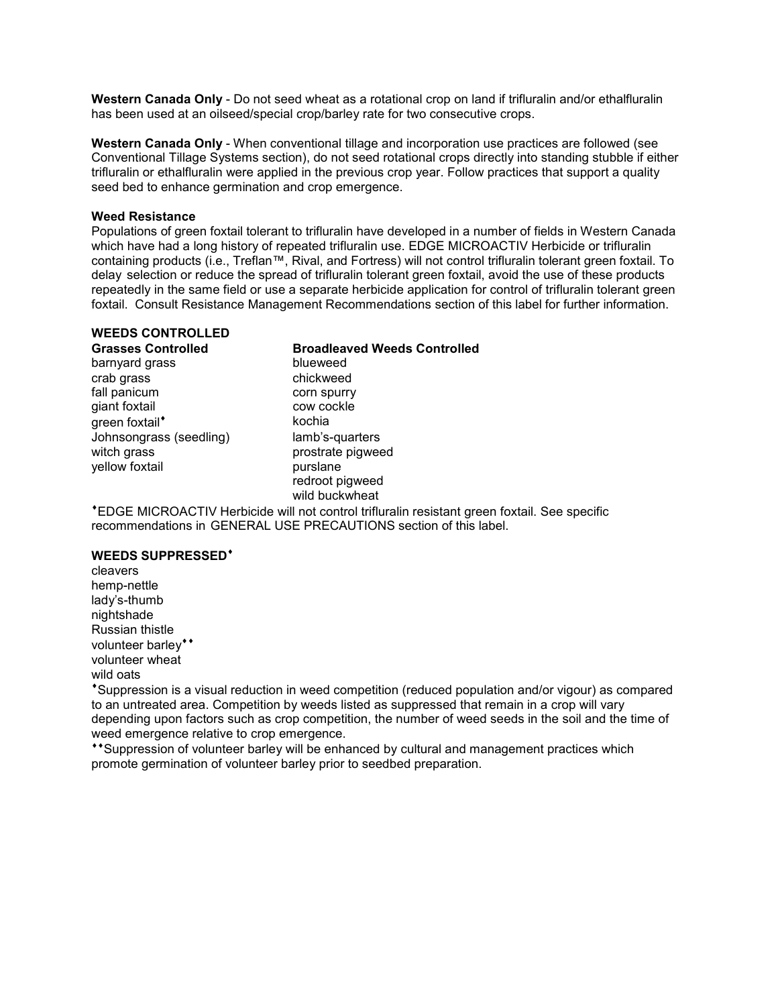**Western Canada Only** - Do not seed wheat as a rotational crop on land if trifluralin and/or ethalfluralin has been used at an oilseed/special crop/barley rate for two consecutive crops.

**Western Canada Only** - When conventional tillage and incorporation use practices are followed (see Conventional Tillage Systems section), do not seed rotational crops directly into standing stubble if either trifluralin or ethalfluralin were applied in the previous crop year. Follow practices that support a quality seed bed to enhance germination and crop emergence.

### **Weed Resistance**

Populations of green foxtail tolerant to trifluralin have developed in a number of fields in Western Canada which have had a long history of repeated trifluralin use. EDGE MICROACTIV Herbicide or trifluralin containing products (i.e., Treflan™, Rival, and Fortress) will not control trifluralin tolerant green foxtail. To delay selection or reduce the spread of trifluralin tolerant green foxtail, avoid the use of these products repeatedly in the same field or use a separate herbicide application for control of trifluralin tolerant green foxtail. Consult Resistance Management Recommendations section of this label for further information.

### **WEEDS CONTROLLED**

### barnyard grass blueweed crab grass chickweed fall panicum<br>
corn spurry<br>
cow cockle giant foxtail qreen foxtail<sup>\*</sup> kochia Johnsongrass (seedling) lamb's-quarters witch grass prostrate pigweed yellow foxtail example to purslane

# **Grasses Controlled Broadleaved Weeds Controlled**

redroot pigweed wild buckwheat

EDGE MICROACTIV Herbicide will not control trifluralin resistant green foxtail. See specific recommendations in GENERAL USE PRECAUTIONS section of this label.

### **WEEDS SUPPRESSED**

cleavers hemp-nettle lady's-thumb nightshade Russian thistle volunteer barley\*\* volunteer wheat wild oats

Suppression is a visual reduction in weed competition (reduced population and/or vigour) as compared to an untreated area. Competition by weeds listed as suppressed that remain in a crop will vary depending upon factors such as crop competition, the number of weed seeds in the soil and the time of weed emergence relative to crop emergence.

\*\*Suppression of volunteer barley will be enhanced by cultural and management practices which promote germination of volunteer barley prior to seedbed preparation.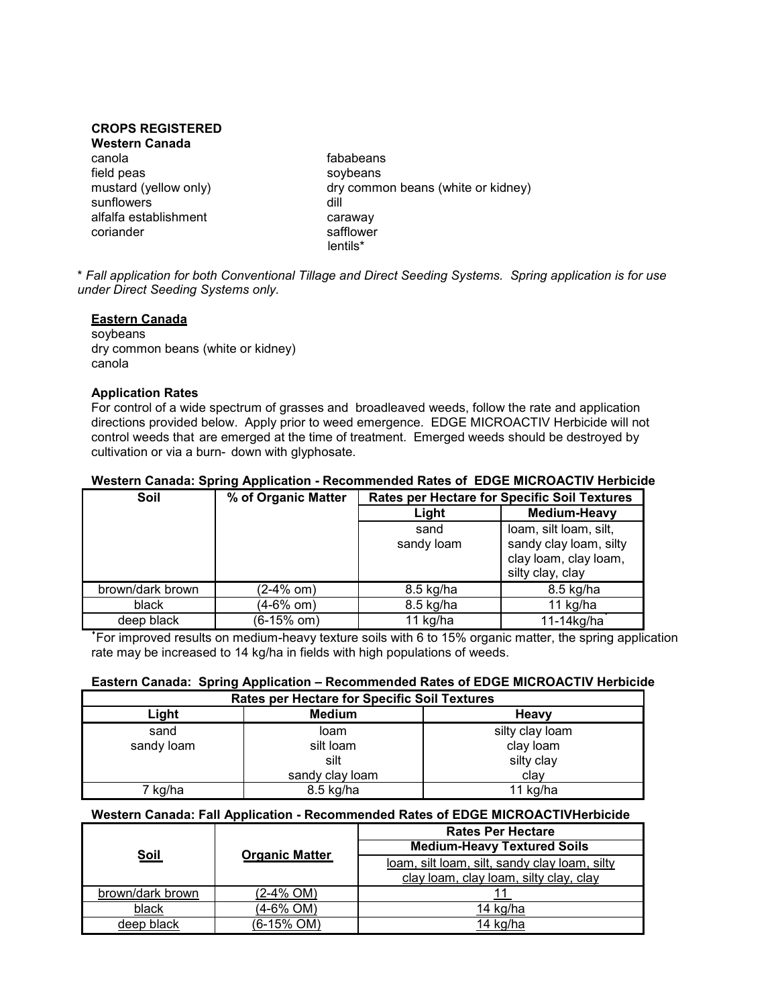### **CROPS REGISTERED**

**Western Canada** canola fababeans field peas soybeans<br>mustard (yellow only) solution of the south of the solution of the solution of the solution of the solution of<br>dry common dry of the solution of the solution of the solution of the solution of the solut sunflowers of the state of the dill alfalfa establishment caraway coriander safflower

dry common beans (white or kidney) lentils\*

\* *Fall application for both Conventional Tillage and Direct Seeding Systems. Spring application is for use under Direct Seeding Systems only.*

### **Eastern Canada**

soybeans dry common beans (white or kidney) canola

### **Application Rates**

For control of a wide spectrum of grasses and broadleaved weeds, follow the rate and application directions provided below. Apply prior to weed emergence. EDGE MICROACTIV Herbicide will not control weeds that are emerged at the time of treatment. Emerged weeds should be destroyed by cultivation or via a burn- down with glyphosate.

| Soil             | % of Organic Matter | <b>Rates per Hectare for Specific Soil Textures</b> |                                                                                               |  |
|------------------|---------------------|-----------------------------------------------------|-----------------------------------------------------------------------------------------------|--|
|                  |                     | Light                                               | Medium-Heavy                                                                                  |  |
|                  |                     | sand<br>sandy loam                                  | loam, silt loam, silt,<br>sandy clay loam, silty<br>clay loam, clay loam,<br>silty clay, clay |  |
| brown/dark brown | (2-4% om)           | 8.5 kg/ha                                           | 8.5 kg/ha                                                                                     |  |
| black            | (4-6% om)           | 8.5 kg/ha                                           | 11 kg/ha                                                                                      |  |
| deep black       | (6-15% om)          | 11 kg/ha                                            | 11-14kg/ha                                                                                    |  |

### **Western Canada: Spring Application - Recommended Rates of EDGE MICROACTIV Herbicide**

 For improved results on medium-heavy texture soils with 6 to 15% organic matter, the spring application rate may be increased to 14 kg/ha in fields with high populations of weeds.

### **Eastern Canada: Spring Application – Recommended Rates of EDGE MICROACTIV Herbicide**

| <b>Rates per Hectare for Specific Soil Textures</b> |                 |                 |  |
|-----------------------------------------------------|-----------------|-----------------|--|
| Light                                               | <b>Medium</b>   | Heavy           |  |
| sand                                                | loam            | silty clay loam |  |
| sandy loam                                          | silt loam       | clay loam       |  |
|                                                     | silt            | silty clay      |  |
|                                                     | sandy clay loam | clav            |  |
| 7 kg/ha                                             | 8.5 kg/ha       | 11 kg/ha        |  |

### **Western Canada: Fall Application - Recommended Rates of EDGE MICROACTIVHerbicide**

| <b>Soil</b>      | <b>Organic Matter</b> | <b>Rates Per Hectare</b>                      |  |
|------------------|-----------------------|-----------------------------------------------|--|
|                  |                       | <b>Medium-Heavy Textured Soils</b>            |  |
|                  |                       | loam, silt loam, silt, sandy clay loam, silty |  |
|                  |                       | clay loam, clay loam, silty clay, clay        |  |
| brown/dark brown | (2-4% OM)             |                                               |  |
| black            | (4-6% OM)             | 14 kɑ/ha                                      |  |
| deep black       | (6-15% OM)            | 14 kg/ha                                      |  |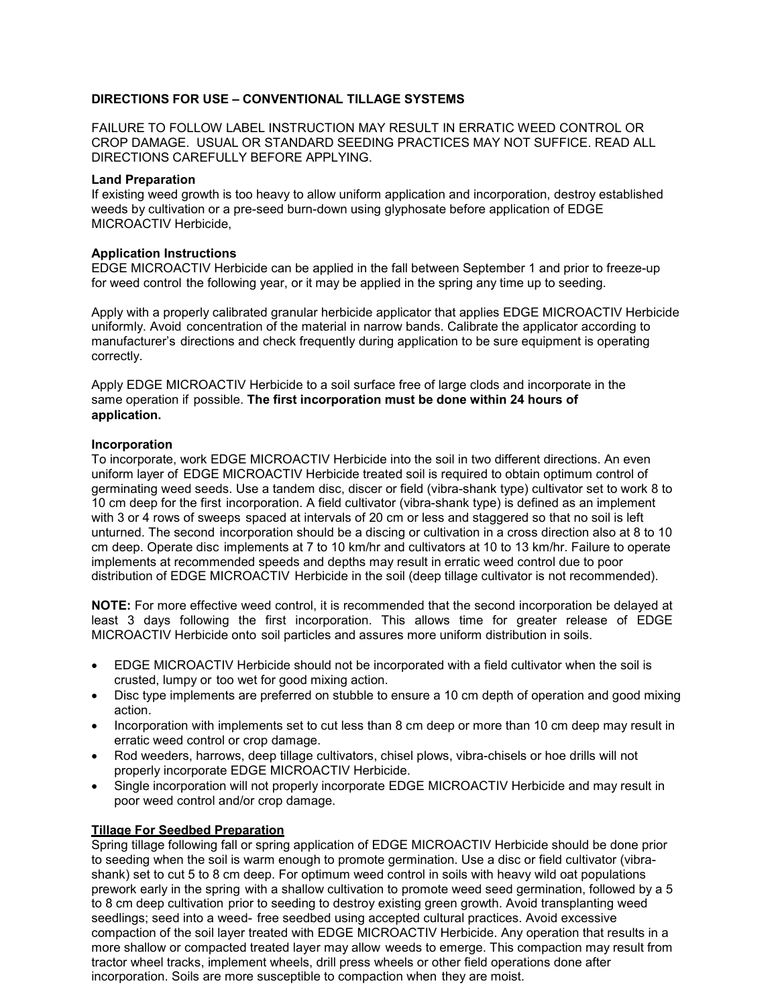### **DIRECTIONS FOR USE – CONVENTIONAL TILLAGE SYSTEMS**

FAILURE TO FOLLOW LABEL INSTRUCTION MAY RESULT IN ERRATIC WEED CONTROL OR CROP DAMAGE. USUAL OR STANDARD SEEDING PRACTICES MAY NOT SUFFICE. READ ALL DIRECTIONS CAREFULLY BEFORE APPLYING.

### **Land Preparation**

If existing weed growth is too heavy to allow uniform application and incorporation, destroy established weeds by cultivation or a pre-seed burn-down using glyphosate before application of EDGE MICROACTIV Herbicide,

### **Application Instructions**

EDGE MICROACTIV Herbicide can be applied in the fall between September 1 and prior to freeze-up for weed control the following year, or it may be applied in the spring any time up to seeding.

Apply with a properly calibrated granular herbicide applicator that applies EDGE MICROACTIV Herbicide uniformly. Avoid concentration of the material in narrow bands. Calibrate the applicator according to manufacturer's directions and check frequently during application to be sure equipment is operating correctly.

Apply EDGE MICROACTIV Herbicide to a soil surface free of large clods and incorporate in the same operation if possible. **The first incorporation must be done within 24 hours of application.**

### **Incorporation**

To incorporate, work EDGE MICROACTIV Herbicide into the soil in two different directions. An even uniform layer of EDGE MICROACTIV Herbicide treated soil is required to obtain optimum control of germinating weed seeds. Use a tandem disc, discer or field (vibra-shank type) cultivator set to work 8 to 10 cm deep for the first incorporation. A field cultivator (vibra-shank type) is defined as an implement with 3 or 4 rows of sweeps spaced at intervals of 20 cm or less and staggered so that no soil is left unturned. The second incorporation should be a discing or cultivation in a cross direction also at 8 to 10 cm deep. Operate disc implements at 7 to 10 km/hr and cultivators at 10 to 13 km/hr. Failure to operate implements at recommended speeds and depths may result in erratic weed control due to poor distribution of EDGE MICROACTIV Herbicide in the soil (deep tillage cultivator is not recommended).

**NOTE:** For more effective weed control, it is recommended that the second incorporation be delayed at least 3 days following the first incorporation. This allows time for greater release of EDGE MICROACTIV Herbicide onto soil particles and assures more uniform distribution in soils.

- EDGE MICROACTIV Herbicide should not be incorporated with a field cultivator when the soil is crusted, lumpy or too wet for good mixing action.
- Disc type implements are preferred on stubble to ensure a 10 cm depth of operation and good mixing action.
- Incorporation with implements set to cut less than 8 cm deep or more than 10 cm deep may result in erratic weed control or crop damage.
- Rod weeders, harrows, deep tillage cultivators, chisel plows, vibra-chisels or hoe drills will not properly incorporate EDGE MICROACTIV Herbicide.
- Single incorporation will not properly incorporate EDGE MICROACTIV Herbicide and may result in poor weed control and/or crop damage.

### **Tillage For Seedbed Preparation**

Spring tillage following fall or spring application of EDGE MICROACTIV Herbicide should be done prior to seeding when the soil is warm enough to promote germination. Use a disc or field cultivator (vibrashank) set to cut 5 to 8 cm deep. For optimum weed control in soils with heavy wild oat populations prework early in the spring with a shallow cultivation to promote weed seed germination, followed by a 5 to 8 cm deep cultivation prior to seeding to destroy existing green growth. Avoid transplanting weed seedlings; seed into a weed- free seedbed using accepted cultural practices. Avoid excessive compaction of the soil layer treated with EDGE MICROACTIV Herbicide. Any operation that results in a more shallow or compacted treated layer may allow weeds to emerge. This compaction may result from tractor wheel tracks, implement wheels, drill press wheels or other field operations done after incorporation. Soils are more susceptible to compaction when they are moist.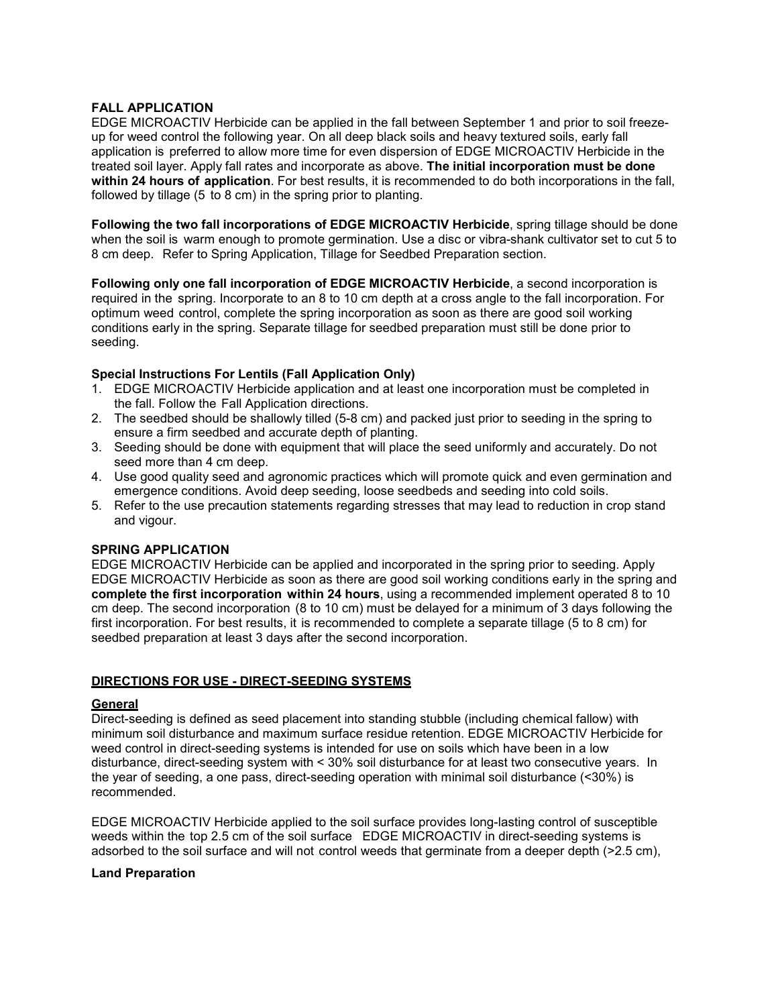### **FALL APPLICATION**

EDGE MICROACTIV Herbicide can be applied in the fall between September 1 and prior to soil freezeup for weed control the following year. On all deep black soils and heavy textured soils, early fall application is preferred to allow more time for even dispersion of EDGE MICROACTIV Herbicide in the treated soil layer. Apply fall rates and incorporate as above. **The initial incorporation must be done within 24 hours of application**. For best results, it is recommended to do both incorporations in the fall, followed by tillage (5 to 8 cm) in the spring prior to planting.

**Following the two fall incorporations of EDGE MICROACTIV Herbicide**, spring tillage should be done when the soil is warm enough to promote germination. Use a disc or vibra-shank cultivator set to cut 5 to 8 cm deep. Refer to Spring Application, Tillage for Seedbed Preparation section.

**Following only one fall incorporation of EDGE MICROACTIV Herbicide**, a second incorporation is required in the spring. Incorporate to an 8 to 10 cm depth at a cross angle to the fall incorporation. For optimum weed control, complete the spring incorporation as soon as there are good soil working conditions early in the spring. Separate tillage for seedbed preparation must still be done prior to seeding.

### **Special Instructions For Lentils (Fall Application Only)**

- 1. EDGE MICROACTIV Herbicide application and at least one incorporation must be completed in the fall. Follow the Fall Application directions.
- 2. The seedbed should be shallowly tilled (5-8 cm) and packed just prior to seeding in the spring to ensure a firm seedbed and accurate depth of planting.
- 3. Seeding should be done with equipment that will place the seed uniformly and accurately. Do not seed more than 4 cm deep.
- 4. Use good quality seed and agronomic practices which will promote quick and even germination and emergence conditions. Avoid deep seeding, loose seedbeds and seeding into cold soils.
- 5. Refer to the use precaution statements regarding stresses that may lead to reduction in crop stand and vigour.

### **SPRING APPLICATION**

EDGE MICROACTIV Herbicide can be applied and incorporated in the spring prior to seeding. Apply EDGE MICROACTIV Herbicide as soon as there are good soil working conditions early in the spring and **complete the first incorporation within 24 hours**, using a recommended implement operated 8 to 10 cm deep. The second incorporation (8 to 10 cm) must be delayed for a minimum of 3 days following the first incorporation. For best results, it is recommended to complete a separate tillage (5 to 8 cm) for seedbed preparation at least 3 days after the second incorporation.

### **DIRECTIONS FOR USE - DIRECT-SEEDING SYSTEMS**

### **General**

Direct-seeding is defined as seed placement into standing stubble (including chemical fallow) with minimum soil disturbance and maximum surface residue retention. EDGE MICROACTIV Herbicide for weed control in direct-seeding systems is intended for use on soils which have been in a low disturbance, direct-seeding system with < 30% soil disturbance for at least two consecutive years. In the year of seeding, a one pass, direct-seeding operation with minimal soil disturbance (<30%) is recommended.

EDGE MICROACTIV Herbicide applied to the soil surface provides long-lasting control of susceptible weeds within the top 2.5 cm of the soil surface EDGE MICROACTIV in direct-seeding systems is adsorbed to the soil surface and will not control weeds that germinate from a deeper depth (>2.5 cm),

### **Land Preparation**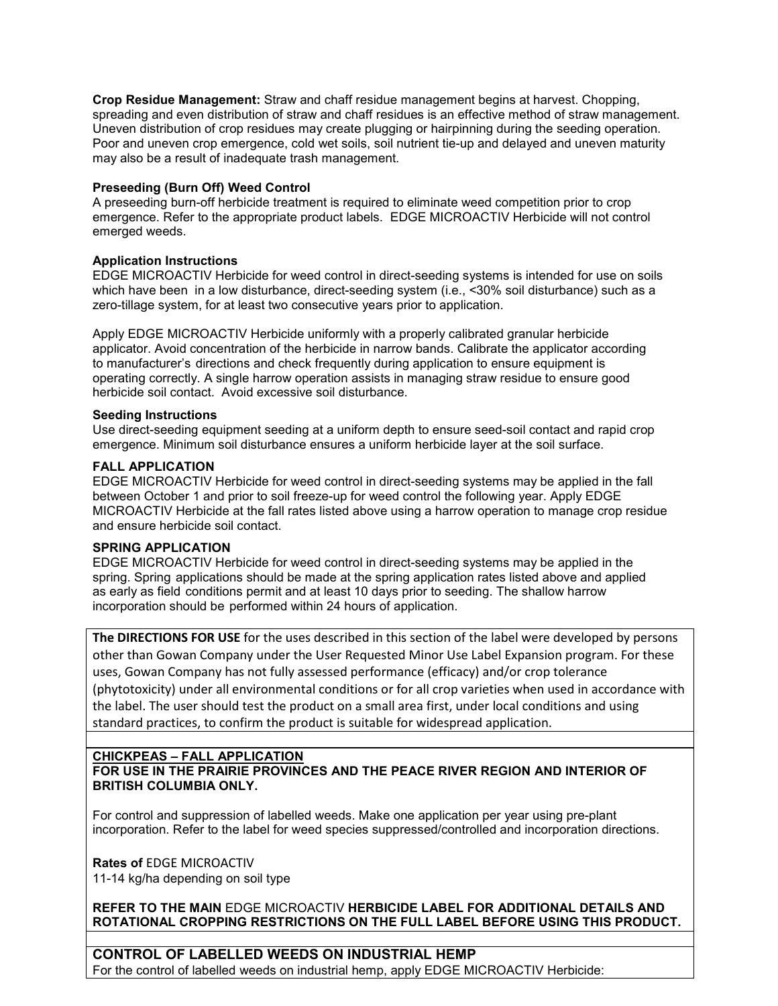**Crop Residue Management:** Straw and chaff residue management begins at harvest. Chopping, spreading and even distribution of straw and chaff residues is an effective method of straw management. Uneven distribution of crop residues may create plugging or hairpinning during the seeding operation. Poor and uneven crop emergence, cold wet soils, soil nutrient tie-up and delayed and uneven maturity may also be a result of inadequate trash management.

### **Preseeding (Burn Off) Weed Control**

A preseeding burn-off herbicide treatment is required to eliminate weed competition prior to crop emergence. Refer to the appropriate product labels. EDGE MICROACTIV Herbicide will not control emerged weeds.

### **Application Instructions**

EDGE MICROACTIV Herbicide for weed control in direct-seeding systems is intended for use on soils which have been in a low disturbance, direct-seeding system (i.e., <30% soil disturbance) such as a zero-tillage system, for at least two consecutive years prior to application.

Apply EDGE MICROACTIV Herbicide uniformly with a properly calibrated granular herbicide applicator. Avoid concentration of the herbicide in narrow bands. Calibrate the applicator according to manufacturer's directions and check frequently during application to ensure equipment is operating correctly. A single harrow operation assists in managing straw residue to ensure good herbicide soil contact. Avoid excessive soil disturbance.

### **Seeding Instructions**

Use direct-seeding equipment seeding at a uniform depth to ensure seed-soil contact and rapid crop emergence. Minimum soil disturbance ensures a uniform herbicide layer at the soil surface.

### **FALL APPLICATION**

EDGE MICROACTIV Herbicide for weed control in direct-seeding systems may be applied in the fall between October 1 and prior to soil freeze-up for weed control the following year. Apply EDGE MICROACTIV Herbicide at the fall rates listed above using a harrow operation to manage crop residue and ensure herbicide soil contact.

### **SPRING APPLICATION**

EDGE MICROACTIV Herbicide for weed control in direct-seeding systems may be applied in the spring. Spring applications should be made at the spring application rates listed above and applied as early as field conditions permit and at least 10 days prior to seeding. The shallow harrow incorporation should be performed within 24 hours of application.

**The DIRECTIONS FOR USE** for the uses described in this section of the label were developed by persons other than Gowan Company under the User Requested Minor Use Label Expansion program. For these uses, Gowan Company has not fully assessed performance (efficacy) and/or crop tolerance (phytotoxicity) under all environmental conditions or for all crop varieties when used in accordance with the label. The user should test the product on a small area first, under local conditions and using standard practices, to confirm the product is suitable for widespread application.

### **CHICKPEAS – FALL APPLICATION FOR USE IN THE PRAIRIE PROVINCES AND THE PEACE RIVER REGION AND INTERIOR OF BRITISH COLUMBIA ONLY.**

For control and suppression of labelled weeds. Make one application per year using pre-plant incorporation. Refer to the label for weed species suppressed/controlled and incorporation directions.

**Rates of** EDGE MICROACTIV 11-14 kg/ha depending on soil type

**REFER TO THE MAIN** EDGE MICROACTIV **HERBICIDE LABEL FOR ADDITIONAL DETAILS AND ROTATIONAL CROPPING RESTRICTIONS ON THE FULL LABEL BEFORE USING THIS PRODUCT.** 

**CONTROL OF LABELLED WEEDS ON INDUSTRIAL HEMP**  For the control of labelled weeds on industrial hemp, apply EDGE MICROACTIV Herbicide: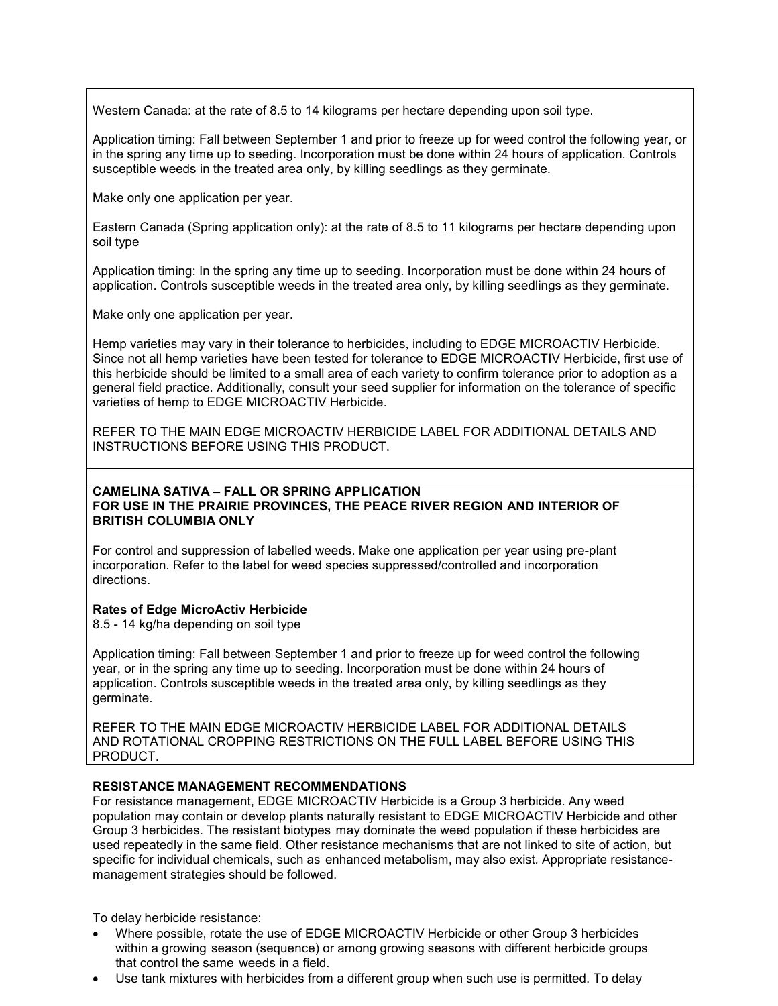Western Canada: at the rate of 8.5 to 14 kilograms per hectare depending upon soil type.

Application timing: Fall between September 1 and prior to freeze up for weed control the following year, or in the spring any time up to seeding. Incorporation must be done within 24 hours of application. Controls susceptible weeds in the treated area only, by killing seedlings as they germinate.

Make only one application per year.

Eastern Canada (Spring application only): at the rate of 8.5 to 11 kilograms per hectare depending upon soil type

Application timing: In the spring any time up to seeding. Incorporation must be done within 24 hours of application. Controls susceptible weeds in the treated area only, by killing seedlings as they germinate.

Make only one application per year.

Hemp varieties may vary in their tolerance to herbicides, including to EDGE MICROACTIV Herbicide. Since not all hemp varieties have been tested for tolerance to EDGE MICROACTIV Herbicide, first use of this herbicide should be limited to a small area of each variety to confirm tolerance prior to adoption as a general field practice. Additionally, consult your seed supplier for information on the tolerance of specific varieties of hemp to EDGE MICROACTIV Herbicide.

REFER TO THE MAIN EDGE MICROACTIV HERBICIDE LABEL FOR ADDITIONAL DETAILS AND INSTRUCTIONS BEFORE USING THIS PRODUCT.

### **CAMELINA SATIVA – FALL OR SPRING APPLICATION FOR USE IN THE PRAIRIE PROVINCES, THE PEACE RIVER REGION AND INTERIOR OF BRITISH COLUMBIA ONLY**

For control and suppression of labelled weeds. Make one application per year using pre-plant incorporation. Refer to the label for weed species suppressed/controlled and incorporation directions.

### **Rates of Edge MicroActiv Herbicide**

8.5 - 14 kg/ha depending on soil type

Application timing: Fall between September 1 and prior to freeze up for weed control the following year, or in the spring any time up to seeding. Incorporation must be done within 24 hours of application. Controls susceptible weeds in the treated area only, by killing seedlings as they germinate.

REFER TO THE MAIN EDGE MICROACTIV HERBICIDE LABEL FOR ADDITIONAL DETAILS AND ROTATIONAL CROPPING RESTRICTIONS ON THE FULL LABEL BEFORE USING THIS PRODUCT.

### **RESISTANCE MANAGEMENT RECOMMENDATIONS**

For resistance management, EDGE MICROACTIV Herbicide is a Group 3 herbicide. Any weed population may contain or develop plants naturally resistant to EDGE MICROACTIV Herbicide and other Group 3 herbicides. The resistant biotypes may dominate the weed population if these herbicides are used repeatedly in the same field. Other resistance mechanisms that are not linked to site of action, but specific for individual chemicals, such as enhanced metabolism, may also exist. Appropriate resistancemanagement strategies should be followed.

To delay herbicide resistance:

- Where possible, rotate the use of EDGE MICROACTIV Herbicide or other Group 3 herbicides within a growing season (sequence) or among growing seasons with different herbicide groups that control the same weeds in a field.
- Use tank mixtures with herbicides from a different group when such use is permitted. To delay